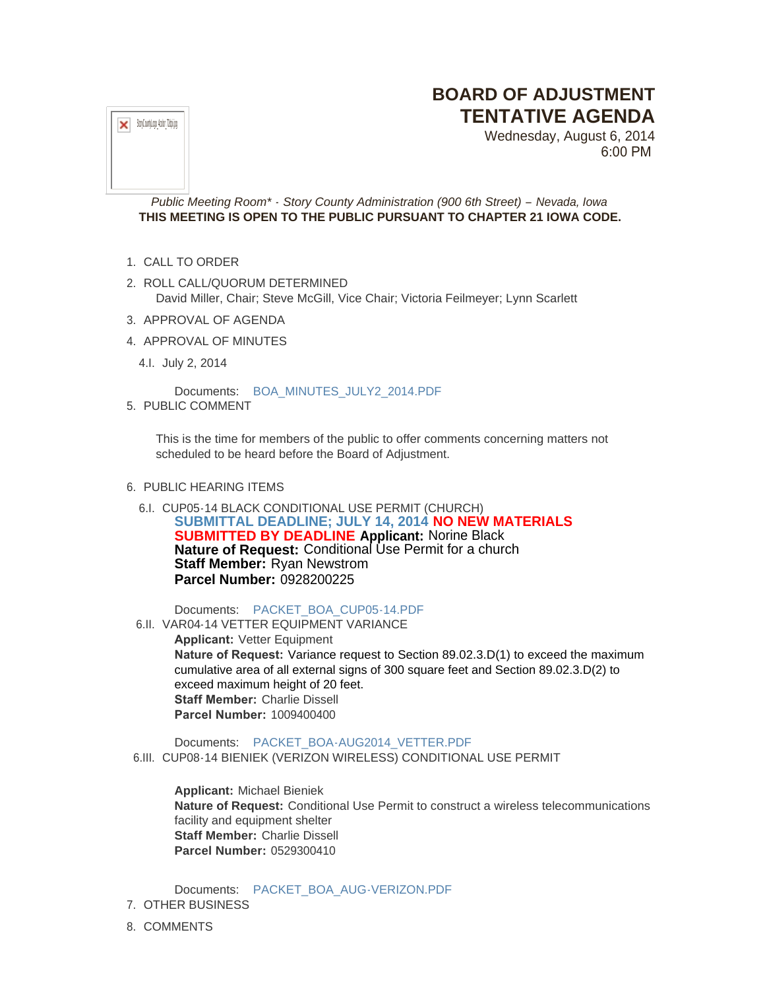## **BOARD OF ADJUSTMENT TENTATIVE AGENDA**

 $\mathbf{x}$  StoyCountyLogo\_4color\_72dpi.jpg

Wednesday, August 6, 2014 6:00 PM

*Public Meeting Room\* - Story County Administration (900 6th Street) – Nevada, Iowa* **THIS MEETING IS OPEN TO THE PUBLIC PURSUANT TO CHAPTER 21 IOWA CODE.**

- 1. CALL TO ORDER
- 2. ROLL CALL/QUORUM DETERMINED David Miller, Chair; Steve McGill, Vice Chair; Victoria Feilmeyer; Lynn Scarlett
- 3. APPROVAL OF AGENDA
- 4. APPROVAL OF MINUTES
- 4.l. July 2, 2014

Documents: [BOA\\_MINUTES\\_JULY2\\_2014.PDF](http://www.storycountyiowa.gov/AgendaCenter/ViewFile/Item/3430?fileID=2638)

5. PUBLIC COMMENT

This is the time for members of the public to offer comments concerning matters not scheduled to be heard before the Board of Adjustment.

- 6. PUBLIC HEARING ITEMS
	- 6.I. CUP05-14 BLACK CONDITIONAL USE PERMIT (CHURCH) **SUBMITTAL DEADLINE; JULY 14, 2014 NO NEW MATERIALS SUBMITTED BY DEADLINE Applicant:** Norine Black **Nature of Request:** Conditional Use Permit for a church **Staff Member:** Ryan Newstrom **Parcel Number:** 0928200225

Documents: [PACKET\\_BOA\\_CUP05-14.PDF](http://www.storycountyiowa.gov/AgendaCenter/ViewFile/Item/3156?fileID=2662)

6.II. VAR04-14 VETTER EQUIPMENT VARIANCE

**Applicant:** Vetter Equipment **Nature of Request:** Variance request to Section 89.02.3.D(1) to exceed the maximum cumulative area of all external signs of 300 square feet and Section 89.02.3.D(2) to exceed maximum height of 20 feet. **Staff Member:** Charlie Dissell **Parcel Number:** 1009400400

Documents: [PACKET\\_BOA-AUG2014\\_VETTER.PDF](http://www.storycountyiowa.gov/AgendaCenter/ViewFile/Item/3328?fileID=2663)

6.III. CUP08-14 BIENIEK (VERIZON WIRELESS) CONDITIONAL USE PERMIT

**Applicant:** Michael Bieniek **Nature of Request:** Conditional Use Permit to construct a wireless telecommunications facility and equipment shelter **Staff Member:** Charlie Dissell **Parcel Number:** 0529300410

Documents: [PACKET\\_BOA\\_AUG-VERIZON.PDF](http://www.storycountyiowa.gov/AgendaCenter/ViewFile/Item/3438?fileID=2675) 7. OTHER BUSINESS

8. COMMENTS